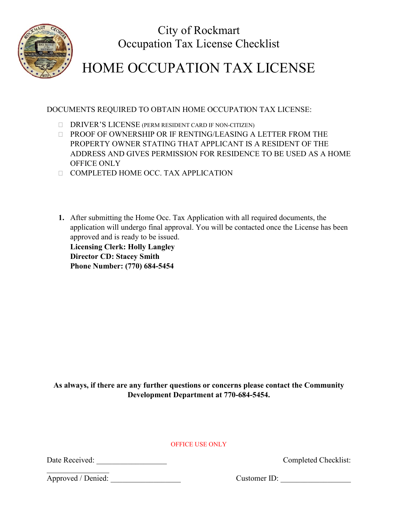

City of Rockmart Occupation Tax License Checklist

## HOME OCCUPATION TAX LICENSE

DOCUMENTS REQUIRED TO OBTAIN HOME OCCUPATION TAX LICENSE:

- DRIVER'S LICENSE (PERM RESIDENT CARD IF NON-CITIZEN)
- PROOF OF OWNERSHIP OR IF RENTING/LEASING A LETTER FROM THE PROPERTY OWNER STATING THAT APPLICANT IS A RESIDENT OF THE ADDRESS AND GIVES PERMISSION FOR RESIDENCE TO BE USED AS A HOME OFFICE ONLY
- COMPLETED HOME OCC. TAX APPLICATION
- **1.** After submitting the Home Occ. Tax Application with all required documents, the application will undergo final approval. You will be contacted once the License has been approved and is ready to be issued.

**Licensing Clerk: Holly Langley Director CD: Stacey Smith Phone Number: (770) 684-5454**

**As always, if there are any further questions or concerns please contact the Community Development Department at 770-684-5454.**

OFFICE USE ONLY

Date Received: Completed Checklist:

 $\mathcal{L}_\text{max}$  . The set of the set of the set of the set of the set of the set of the set of the set of the set of the set of the set of the set of the set of the set of the set of the set of the set of the set of the set Approved / Denied: \_\_\_\_\_\_\_\_\_\_\_\_\_\_\_\_\_\_ Customer ID: \_\_\_\_\_\_\_\_\_\_\_\_\_\_\_\_\_\_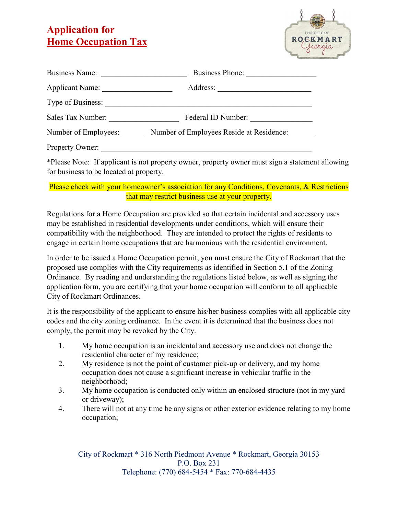## **Application for Home Occupation Tax**



| <b>Business Name:</b>                                            | <b>Business Phone:</b> |  |  |
|------------------------------------------------------------------|------------------------|--|--|
| <b>Applicant Name:</b>                                           | Address:               |  |  |
| Type of Business:                                                |                        |  |  |
| Sales Tax Number:                                                | Federal ID Number:     |  |  |
| Number of Employees Reside at Residence:<br>Number of Employees: |                        |  |  |
| Property Owner:                                                  |                        |  |  |

\*Please Note: If applicant is not property owner, property owner must sign a statement allowing for business to be located at property.

## Please check with your homeowner's association for any Conditions, Covenants, & Restrictions that may restrict business use at your property.

Regulations for a Home Occupation are provided so that certain incidental and accessory uses may be established in residential developments under conditions, which will ensure their compatibility with the neighborhood. They are intended to protect the rights of residents to engage in certain home occupations that are harmonious with the residential environment.

In order to be issued a Home Occupation permit, you must ensure the City of Rockmart that the proposed use complies with the City requirements as identified in Section 5.1 of the Zoning Ordinance. By reading and understanding the regulations listed below, as well as signing the application form, you are certifying that your home occupation will conform to all applicable City of Rockmart Ordinances.

It is the responsibility of the applicant to ensure his/her business complies with all applicable city codes and the city zoning ordinance. In the event it is determined that the business does not comply, the permit may be revoked by the City.

- 1. My home occupation is an incidental and accessory use and does not change the residential character of my residence;
- 2. My residence is not the point of customer pick-up or delivery, and my home occupation does not cause a significant increase in vehicular traffic in the neighborhood;
- 3. My home occupation is conducted only within an enclosed structure (not in my yard or driveway);
- 4. There will not at any time be any signs or other exterior evidence relating to my home occupation;

City of Rockmart \* 316 North Piedmont Avenue \* Rockmart, Georgia 30153 P.O. Box 231 Telephone: (770) 684-5454 \* Fax: 770-684-4435